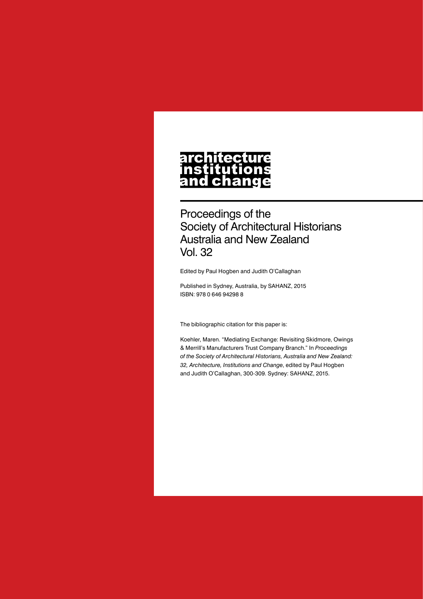#### **architecture** nstitutions **Ch** nd a

Proceedings of the Society of Architectural Historians Australia and New Zealand Vol. 32

Edited by Paul Hogben and Judith O'Callaghan

Published in Sydney, Australia, by SAHANZ, 2015 ISBN: 978 0 646 94298 8

The bibliographic citation for this paper is:

Koehler, Maren. "Mediating Exchange: Revisiting Skidmore, Owings & Merrill's Manufacturers Trust Company Branch." In *Proceedings of the Society of Architectural Historians, Australia and New Zealand: 32, Architecture, Institutions and Change*, edited by Paul Hogben and Judith O'Callaghan, 300-309. Sydney: SAHANZ, 2015.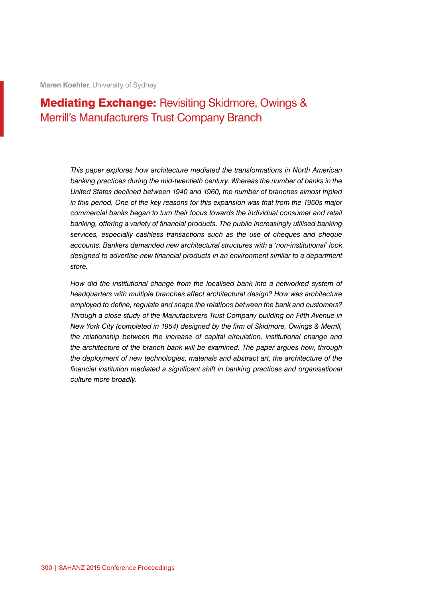**Maren Koehler**, University of Sydney

# Mediating Exchange: Revisiting Skidmore, Owings & Merrill's Manufacturers Trust Company Branch

*This paper explores how architecture mediated the transformations in North American banking practices during the mid-twentieth century. Whereas the number of banks in the United States declined between 1940 and 1960, the number of branches almost tripled in this period. One of the key reasons for this expansion was that from the 1950s major commercial banks began to turn their focus towards the individual consumer and retail banking, offering a variety of financial products. The public increasingly utilised banking services, especially cashless transactions such as the use of cheques and cheque accounts. Bankers demanded new architectural structures with a 'non-institutional' look designed to advertise new financial products in an environment similar to a department store.*

How did the institutional change from the localised bank into a networked system of *headquarters with multiple branches affect architectural design? How was architecture employed to define, regulate and shape the relations between the bank and customers? Through a close study of the Manufacturers Trust Company building on Fifth Avenue in New York City (completed in 1954) designed by the firm of Skidmore, Owings & Merrill, the relationship between the increase of capital circulation, institutional change and the architecture of the branch bank will be examined. The paper argues how, through the deployment of new technologies, materials and abstract art, the architecture of the financial institution mediated a significant shift in banking practices and organisational culture more broadly.*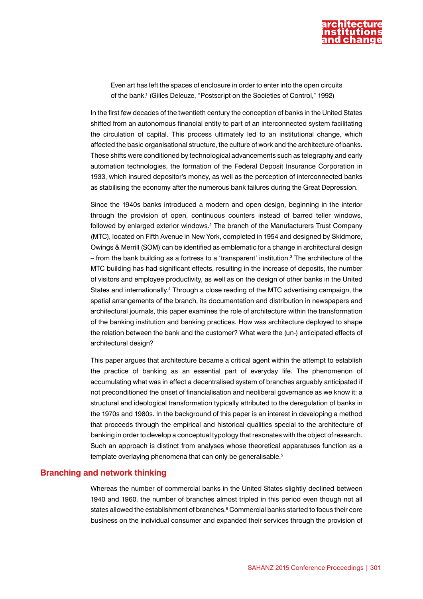

Even art has left the spaces of enclosure in order to enter into the open circuits of the bank.1 (Gilles Deleuze, "Postscript on the Societies of Control," 1992)

In the first few decades of the twentieth century the conception of banks in the United States shifted from an autonomous financial entity to part of an interconnected system facilitating the circulation of capital. This process ultimately led to an institutional change, which affected the basic organisational structure, the culture of work and the architecture of banks. These shifts were conditioned by technological advancements such as telegraphy and early automation technologies, the formation of the Federal Deposit Insurance Corporation in 1933, which insured depositor's money, as well as the perception of interconnected banks as stabilising the economy after the numerous bank failures during the Great Depression.

Since the 1940s banks introduced a modern and open design, beginning in the interior through the provision of open, continuous counters instead of barred teller windows, followed by enlarged exterior windows.<sup>2</sup> The branch of the Manufacturers Trust Company (MTC), located on Fifth Avenue in New York, completed in 1954 and designed by Skidmore, Owings & Merrill (SOM) can be identified as emblematic for a change in architectural design – from the bank building as a fortress to a 'transparent' institution. $^3$  The architecture of the MTC building has had significant effects, resulting in the increase of deposits, the number of visitors and employee productivity, as well as on the design of other banks in the United States and internationally.<sup>4</sup> Through a close reading of the MTC advertising campaign, the spatial arrangements of the branch, its documentation and distribution in newspapers and architectural journals, this paper examines the role of architecture within the transformation of the banking institution and banking practices. How was architecture deployed to shape the relation between the bank and the customer? What were the (un-) anticipated effects of architectural design?

This paper argues that architecture became a critical agent within the attempt to establish the practice of banking as an essential part of everyday life. The phenomenon of accumulating what was in effect a decentralised system of branches arguably anticipated if not preconditioned the onset of financialisation and neoliberal governance as we know it: a structural and ideological transformation typically attributed to the deregulation of banks in the 1970s and 1980s. In the background of this paper is an interest in developing a method that proceeds through the empirical and historical qualities special to the architecture of banking in order to develop a conceptual typology that resonates with the object of research. Such an approach is distinct from analyses whose theoretical apparatuses function as a template overlaying phenomena that can only be generalisable.<sup>5</sup>

## **Branching and network thinking**

Whereas the number of commercial banks in the United States slightly declined between 1940 and 1960, the number of branches almost tripled in this period even though not all states allowed the establishment of branches.<sup>6</sup> Commercial banks started to focus their core business on the individual consumer and expanded their services through the provision of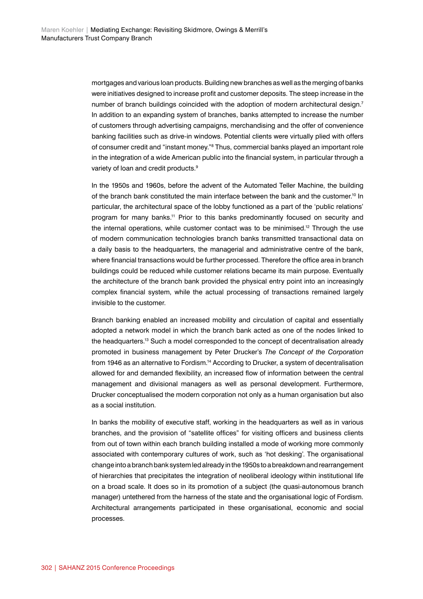mortgages and various loan products. Building new branches as well as the merging of banks were initiatives designed to increase profit and customer deposits. The steep increase in the number of branch buildings coincided with the adoption of modern architectural design.<sup>7</sup> In addition to an expanding system of branches, banks attempted to increase the number of customers through advertising campaigns, merchandising and the offer of convenience banking facilities such as drive-in windows. Potential clients were virtually plied with offers of consumer credit and "instant money."<sup>8</sup> Thus, commercial banks played an important role in the integration of a wide American public into the financial system, in particular through a variety of loan and credit products.<sup>9</sup>

In the 1950s and 1960s, before the advent of the Automated Teller Machine, the building of the branch bank constituted the main interface between the bank and the customer.10 In particular, the architectural space of the lobby functioned as a part of the 'public relations' program for many banks.11 Prior to this banks predominantly focused on security and the internal operations, while customer contact was to be minimised.<sup>12</sup> Through the use of modern communication technologies branch banks transmitted transactional data on a daily basis to the headquarters, the managerial and administrative centre of the bank, where financial transactions would be further processed. Therefore the office area in branch buildings could be reduced while customer relations became its main purpose. Eventually the architecture of the branch bank provided the physical entry point into an increasingly complex financial system, while the actual processing of transactions remained largely invisible to the customer.

Branch banking enabled an increased mobility and circulation of capital and essentially adopted a network model in which the branch bank acted as one of the nodes linked to the headquarters.<sup>13</sup> Such a model corresponded to the concept of decentralisation already promoted in business management by Peter Drucker's *The Concept of the Corporation*  from 1946 as an alternative to Fordism.<sup>14</sup> According to Drucker, a system of decentralisation allowed for and demanded flexibility, an increased flow of information between the central management and divisional managers as well as personal development. Furthermore, Drucker conceptualised the modern corporation not only as a human organisation but also as a social institution.

In banks the mobility of executive staff, working in the headquarters as well as in various branches, and the provision of "satellite offices" for visiting officers and business clients from out of town within each branch building installed a mode of working more commonly associated with contemporary cultures of work, such as 'hot desking'. The organisational change into a branch bank system led already in the 1950s to a breakdown and rearrangement of hierarchies that precipitates the integration of neoliberal ideology within institutional life on a broad scale. It does so in its promotion of a subject (the quasi-autonomous branch manager) untethered from the harness of the state and the organisational logic of Fordism. Architectural arrangements participated in these organisational, economic and social processes.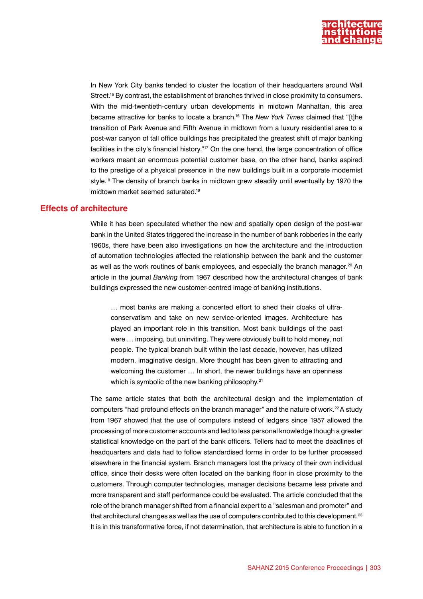

In New York City banks tended to cluster the location of their headquarters around Wall Street.<sup>15</sup> By contrast, the establishment of branches thrived in close proximity to consumers. With the mid-twentieth-century urban developments in midtown Manhattan, this area became attractive for banks to locate a branch.16 The *New York Times* claimed that "[t]he transition of Park Avenue and Fifth Avenue in midtown from a luxury residential area to a post-war canyon of tall office buildings has precipitated the greatest shift of major banking facilities in the city's financial history."<sup>17</sup> On the one hand, the large concentration of office workers meant an enormous potential customer base, on the other hand, banks aspired to the prestige of a physical presence in the new buildings built in a corporate modernist style.<sup>18</sup> The density of branch banks in midtown grew steadily until eventually by 1970 the midtown market seemed saturated.19

## **Effects of architecture**

While it has been speculated whether the new and spatially open design of the post-war bank in the United States triggered the increase in the number of bank robberies in the early 1960s, there have been also investigations on how the architecture and the introduction of automation technologies affected the relationship between the bank and the customer as well as the work routines of bank employees, and especially the branch manager.<sup>20</sup> An article in the journal *Banking* from 1967 described how the architectural changes of bank buildings expressed the new customer-centred image of banking institutions.

… most banks are making a concerted effort to shed their cloaks of ultraconservatism and take on new service-oriented images. Architecture has played an important role in this transition. Most bank buildings of the past were … imposing, but uninviting. They were obviously built to hold money, not people. The typical branch built within the last decade, however, has utilized modern, imaginative design. More thought has been given to attracting and welcoming the customer … In short, the newer buildings have an openness which is symbolic of the new banking philosophy.<sup>21</sup>

The same article states that both the architectural design and the implementation of computers "had profound effects on the branch manager" and the nature of work.22 A study from 1967 showed that the use of computers instead of ledgers since 1957 allowed the processing of more customer accounts and led to less personal knowledge though a greater statistical knowledge on the part of the bank officers. Tellers had to meet the deadlines of headquarters and data had to follow standardised forms in order to be further processed elsewhere in the financial system. Branch managers lost the privacy of their own individual office, since their desks were often located on the banking floor in close proximity to the customers. Through computer technologies, manager decisions became less private and more transparent and staff performance could be evaluated. The article concluded that the role of the branch manager shifted from a financial expert to a "salesman and promoter" and that architectural changes as well as the use of computers contributed to this development.<sup>23</sup> It is in this transformative force, if not determination, that architecture is able to function in a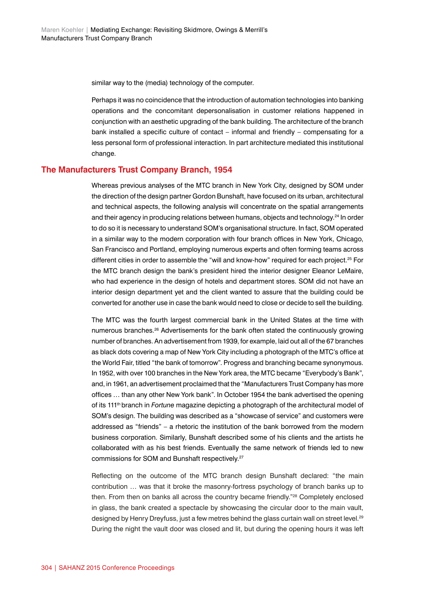similar way to the (media) technology of the computer.

Perhaps it was no coincidence that the introduction of automation technologies into banking operations and the concomitant depersonalisation in customer relations happened in conjunction with an aesthetic upgrading of the bank building. The architecture of the branch bank installed a specific culture of contact – informal and friendly – compensating for a less personal form of professional interaction. In part architecture mediated this institutional change.

### **The Manufacturers Trust Company Branch, 1954**

Whereas previous analyses of the MTC branch in New York City, designed by SOM under the direction of the design partner Gordon Bunshaft, have focused on its urban, architectural and technical aspects, the following analysis will concentrate on the spatial arrangements and their agency in producing relations between humans, objects and technology.24 In order to do so it is necessary to understand SOM's organisational structure. In fact, SOM operated in a similar way to the modern corporation with four branch offices in New York, Chicago, San Francisco and Portland, employing numerous experts and often forming teams across different cities in order to assemble the "will and know-how" required for each project.<sup>25</sup> For the MTC branch design the bank's president hired the interior designer Eleanor LeMaire, who had experience in the design of hotels and department stores. SOM did not have an interior design department yet and the client wanted to assure that the building could be converted for another use in case the bank would need to close or decide to sell the building.

The MTC was the fourth largest commercial bank in the United States at the time with numerous branches.<sup>26</sup> Advertisements for the bank often stated the continuously growing number of branches. An advertisement from 1939, for example, laid out all of the 67 branches as black dots covering a map of New York City including a photograph of the MTC's office at the World Fair, titled "the bank of tomorrow". Progress and branching became synonymous. In 1952, with over 100 branches in the New York area, the MTC became "Everybody's Bank", and, in 1961, an advertisement proclaimed that the "Manufacturers Trust Company has more offices … than any other New York bank". In October 1954 the bank advertised the opening of its 111th branch in *Fortune* magazine depicting a photograph of the architectural model of SOM's design. The building was described as a "showcase of service" and customers were addressed as "friends" – a rhetoric the institution of the bank borrowed from the modern business corporation. Similarly, Bunshaft described some of his clients and the artists he collaborated with as his best friends. Eventually the same network of friends led to new commissions for SOM and Bunshaft respectively.<sup>27</sup>

Reflecting on the outcome of the MTC branch design Bunshaft declared: "the main contribution … was that it broke the masonry-fortress psychology of branch banks up to then. From then on banks all across the country became friendly."28 Completely enclosed in glass, the bank created a spectacle by showcasing the circular door to the main vault, designed by Henry Dreyfuss, just a few metres behind the glass curtain wall on street level.<sup>29</sup> During the night the vault door was closed and lit, but during the opening hours it was left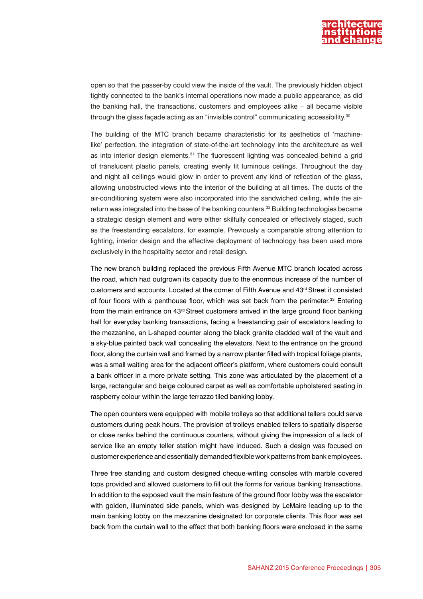

open so that the passer-by could view the inside of the vault. The previously hidden object tightly connected to the bank's internal operations now made a public appearance, as did the banking hall, the transactions, customers and employees alike – all became visible through the glass façade acting as an "invisible control" communicating accessibility.<sup>30</sup>

The building of the MTC branch became characteristic for its aesthetics of 'machinelike' perfection, the integration of state-of-the-art technology into the architecture as well as into interior design elements.<sup>31</sup> The fluorescent lighting was concealed behind a grid of translucent plastic panels, creating evenly lit luminous ceilings. Throughout the day and night all ceilings would glow in order to prevent any kind of reflection of the glass, allowing unobstructed views into the interior of the building at all times. The ducts of the air-conditioning system were also incorporated into the sandwiched ceiling, while the airreturn was integrated into the base of the banking counters.<sup>32</sup> Building technologies became a strategic design element and were either skilfully concealed or effectively staged, such as the freestanding escalators, for example. Previously a comparable strong attention to lighting, interior design and the effective deployment of technology has been used more exclusively in the hospitality sector and retail design.

The new branch building replaced the previous Fifth Avenue MTC branch located across the road, which had outgrown its capacity due to the enormous increase of the number of customers and accounts. Located at the corner of Fifth Avenue and 43rd Street it consisted of four floors with a penthouse floor, which was set back from the perimeter.<sup>33</sup> Entering from the main entrance on 43<sup>rd</sup> Street customers arrived in the large ground floor banking hall for everyday banking transactions, facing a freestanding pair of escalators leading to the mezzanine, an L-shaped counter along the black granite cladded wall of the vault and a sky-blue painted back wall concealing the elevators. Next to the entrance on the ground floor, along the curtain wall and framed by a narrow planter filled with tropical foliage plants, was a small waiting area for the adjacent officer's platform, where customers could consult a bank officer in a more private setting. This zone was articulated by the placement of a large, rectangular and beige coloured carpet as well as comfortable upholstered seating in raspberry colour within the large terrazzo tiled banking lobby.

The open counters were equipped with mobile trolleys so that additional tellers could serve customers during peak hours. The provision of trolleys enabled tellers to spatially disperse or close ranks behind the continuous counters, without giving the impression of a lack of service like an empty teller station might have induced. Such a design was focused on customer experience and essentially demanded flexible work patterns from bank employees.

Three free standing and custom designed cheque-writing consoles with marble covered tops provided and allowed customers to fill out the forms for various banking transactions. In addition to the exposed vault the main feature of the ground floor lobby was the escalator with golden, illuminated side panels, which was designed by LeMaire leading up to the main banking lobby on the mezzanine designated for corporate clients. This floor was set back from the curtain wall to the effect that both banking floors were enclosed in the same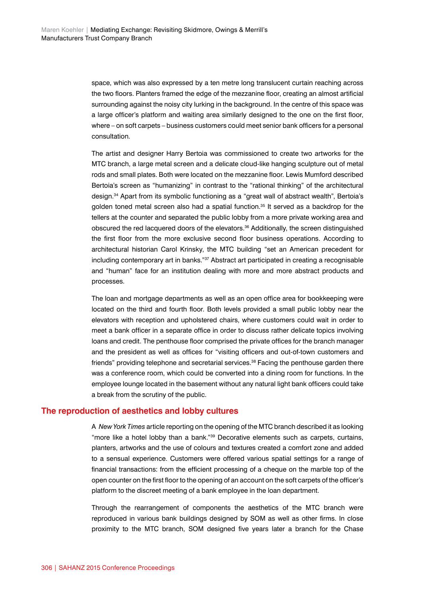space, which was also expressed by a ten metre long translucent curtain reaching across the two floors. Planters framed the edge of the mezzanine floor, creating an almost artificial surrounding against the noisy city lurking in the background. In the centre of this space was a large officer's platform and waiting area similarly designed to the one on the first floor, where – on soft carpets – business customers could meet senior bank officers for a personal consultation.

The artist and designer Harry Bertoia was commissioned to create two artworks for the MTC branch, a large metal screen and a delicate cloud-like hanging sculpture out of metal rods and small plates. Both were located on the mezzanine floor. Lewis Mumford described Bertoia's screen as "humanizing" in contrast to the "rational thinking" of the architectural design.34 Apart from its symbolic functioning as a "great wall of abstract wealth", Bertoia's golden toned metal screen also had a spatial function. $35$  It served as a backdrop for the tellers at the counter and separated the public lobby from a more private working area and obscured the red lacquered doors of the elevators.36 Additionally, the screen distinguished the first floor from the more exclusive second floor business operations. According to architectural historian Carol Krinsky, the MTC building "set an American precedent for including contemporary art in banks."37 Abstract art participated in creating a recognisable and "human" face for an institution dealing with more and more abstract products and processes.

The loan and mortgage departments as well as an open office area for bookkeeping were located on the third and fourth floor. Both levels provided a small public lobby near the elevators with reception and upholstered chairs, where customers could wait in order to meet a bank officer in a separate office in order to discuss rather delicate topics involving loans and credit. The penthouse floor comprised the private offices for the branch manager and the president as well as offices for "visiting officers and out-of-town customers and friends" providing telephone and secretarial services.<sup>38</sup> Facing the penthouse garden there was a conference room, which could be converted into a dining room for functions. In the employee lounge located in the basement without any natural light bank officers could take a break from the scrutiny of the public.

## **The reproduction of aesthetics and lobby cultures**

A *New York Times* article reporting on the opening of the MTC branch described it as looking "more like a hotel lobby than a bank."39 Decorative elements such as carpets, curtains, planters, artworks and the use of colours and textures created a comfort zone and added to a sensual experience. Customers were offered various spatial settings for a range of financial transactions: from the efficient processing of a cheque on the marble top of the open counter on the first floor to the opening of an account on the soft carpets of the officer's platform to the discreet meeting of a bank employee in the loan department.

Through the rearrangement of components the aesthetics of the MTC branch were reproduced in various bank buildings designed by SOM as well as other firms. In close proximity to the MTC branch, SOM designed five years later a branch for the Chase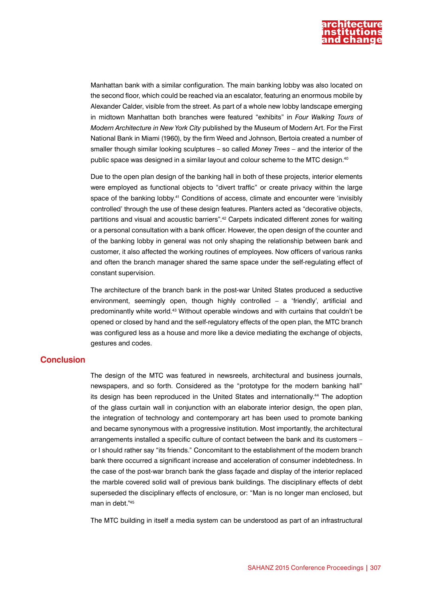

Manhattan bank with a similar configuration. The main banking lobby was also located on the second floor, which could be reached via an escalator, featuring an enormous mobile by Alexander Calder, visible from the street. As part of a whole new lobby landscape emerging in midtown Manhattan both branches were featured "exhibits" in *Four Walking Tours of Modern Architecture in New York City* published by the Museum of Modern Art. For the First National Bank in Miami (1960), by the firm Weed and Johnson, Bertoia created a number of smaller though similar looking sculptures – so called *Money Trees –* and the interior of the public space was designed in a similar layout and colour scheme to the MTC design.40

Due to the open plan design of the banking hall in both of these projects, interior elements were employed as functional objects to "divert traffic" or create privacy within the large space of the banking lobby.<sup>41</sup> Conditions of access, climate and encounter were 'invisibly controlled' through the use of these design features. Planters acted as "decorative objects, partitions and visual and acoustic barriers".42 Carpets indicated different zones for waiting or a personal consultation with a bank officer. However, the open design of the counter and of the banking lobby in general was not only shaping the relationship between bank and customer, it also affected the working routines of employees. Now officers of various ranks and often the branch manager shared the same space under the self-regulating effect of constant supervision.

The architecture of the branch bank in the post-war United States produced a seductive environment, seemingly open, though highly controlled – a 'friendly', artificial and predominantly white world.43 Without operable windows and with curtains that couldn't be opened or closed by hand and the self-regulatory effects of the open plan, the MTC branch was configured less as a house and more like a device mediating the exchange of objects, gestures and codes.

#### **Conclusion**

The design of the MTC was featured in newsreels, architectural and business journals, newspapers, and so forth. Considered as the "prototype for the modern banking hall" its design has been reproduced in the United States and internationally.<sup>44</sup> The adoption of the glass curtain wall in conjunction with an elaborate interior design, the open plan, the integration of technology and contemporary art has been used to promote banking and became synonymous with a progressive institution. Most importantly, the architectural arrangements installed a specific culture of contact between the bank and its customers – or I should rather say "its friends." Concomitant to the establishment of the modern branch bank there occurred a significant increase and acceleration of consumer indebtedness. In the case of the post-war branch bank the glass façade and display of the interior replaced the marble covered solid wall of previous bank buildings. The disciplinary effects of debt superseded the disciplinary effects of enclosure, or: "Man is no longer man enclosed, but man in debt."45

The MTC building in itself a media system can be understood as part of an infrastructural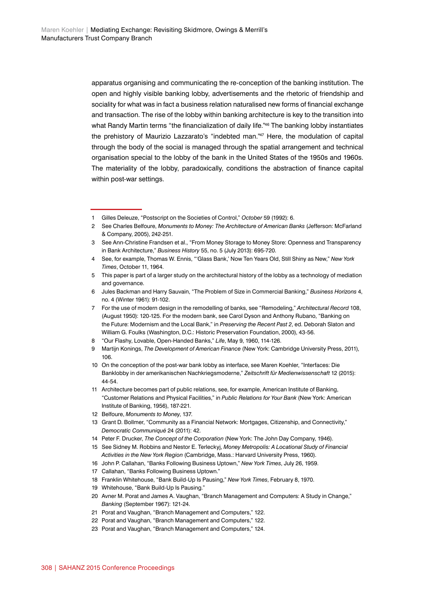apparatus organising and communicating the re-conception of the banking institution. The open and highly visible banking lobby, advertisements and the rhetoric of friendship and sociality for what was in fact a business relation naturalised new forms of financial exchange and transaction. The rise of the lobby within banking architecture is key to the transition into what Randy Martin terms "the financialization of daily life."46 The banking lobby instantiates the prehistory of Maurizio Lazzarato's "indebted man."47 Here, the modulation of capital through the body of the social is managed through the spatial arrangement and technical organisation special to the lobby of the bank in the United States of the 1950s and 1960s. The materiality of the lobby, paradoxically, conditions the abstraction of finance capital within post-war settings.

- 9 Martijn Konings, *The Development of American Finance* (New York: Cambridge University Press, 2011), 106.
- 10 On the conception of the post-war bank lobby as interface, see Maren Koehler, "Interfaces: Die Banklobby in der amerikanischen Nachkriegsmoderne," *Zeitschrift für Medienwissenschaft* 12 (2015): 44-54.
- 11 Architecture becomes part of public relations, see, for example, American Institute of Banking, "Customer Relations and Physical Facilities," in *Public Relations for Your Bank* (New York: American Institute of Banking, 1956), 187-221.
- 12 Belfoure, *Monuments to Money*, 137.
- 13 Grant D. Bollmer, "Community as a Financial Network: Mortgages, Citizenship, and Connectivity," *Democratic Communiqué* 24 (2011): 42.
- 14 Peter F. Drucker, *The Concept of the Corporation* (New York: The John Day Company, 1946).
- 15 See Sidney M. Robbins and Nestor E. Terleckyj, *Money Metropolis: A Locational Study of Financial Activities in the New York Region* (Cambridge, Mass.: Harvard University Press, 1960).
- 16 John P. Callahan, "Banks Following Business Uptown," *New York Times*, July 26, 1959.
- 17 Callahan, "Banks Following Business Uptown."
- 18 Franklin Whitehouse, "Bank Build-Up Is Pausing," *New York Times*, February 8, 1970.
- 19 Whitehouse, "Bank Build-Up Is Pausing."
- 20 Avner M. Porat and James A. Vaughan, "Branch Management and Computers: A Study in Change," *Banking* (September 1967): 121-24.
- 21 Porat and Vaughan, "Branch Management and Computers," 122.
- 22 Porat and Vaughan, "Branch Management and Computers," 122.
- 23 Porat and Vaughan, "Branch Management and Computers," 124.

<sup>1</sup> Gilles Deleuze, "Postscript on the Societies of Control," *October* 59 (1992): 6.

<sup>2</sup> See Charles Belfoure, *Monuments to Money: The Architecture of American Banks* (Jefferson: McFarland & Company, 2005), 242-251.

<sup>3</sup> See Ann-Christine Frandsen et al., "From Money Storage to Money Store: Openness and Transparency in Bank Architecture," *Business History* 55, no. 5 (July 2013): 695-720.

<sup>4</sup> See, for example, Thomas W. Ennis, "'Glass Bank,' Now Ten Years Old, Still Shiny as New," *New York Times*, October 11, 1964.

<sup>5</sup> This paper is part of a larger study on the architectural history of the lobby as a technology of mediation and governance.

<sup>6</sup> Jules Backman and Harry Sauvain, "The Problem of Size in Commercial Banking," *Business Horizons* 4, no. 4 (Winter 1961): 91-102.

<sup>7</sup> For the use of modern design in the remodelling of banks, see "Remodeling," *Architectural Record* 108, (August 1950): 120-125. For the modern bank, see Carol Dyson and Anthony Rubano, "Banking on the Future: Modernism and the Local Bank," in *Preserving the Recent Past 2*, ed. Deborah Slaton and William G. Foulks (Washington, D.C.: Historic Preservation Foundation, 2000), 43-56.

<sup>8</sup> "Our Flashy, Lovable, Open-Handed Banks," *Life*, May 9, 1960, 114-126.